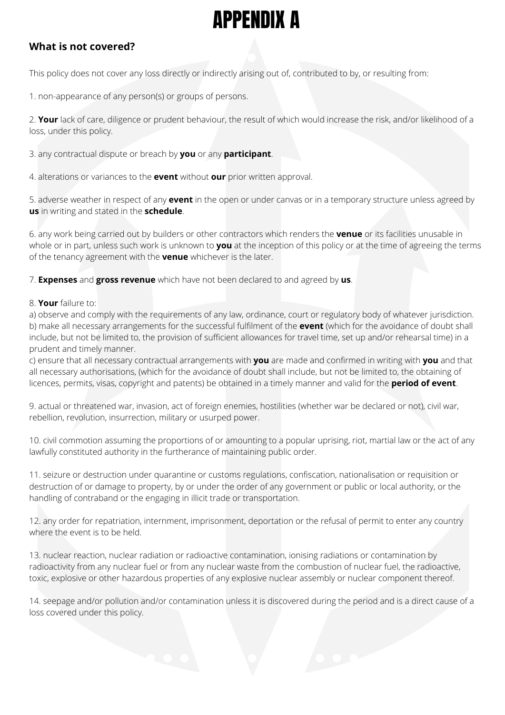## APPENDIX A

## **What is not covered?**

This policy does not cover any loss directly or indirectly arising out of, contributed to by, or resulting from:

1. non-appearance of any person(s) or groups of persons.

2. **Your** lack of care, diligence or prudent behaviour, the result of which would increase the risk, and/or likelihood of a loss, under this policy.

3. any contractual dispute or breach by **you** or any **participant**.

4. alterations or variances to the **event** without **our** prior written approval.

5. adverse weather in respect of any **event** in the open or under canvas or in a temporary structure unless agreed by **us** in writing and stated in the **schedule**.

6. any work being carried out by builders or other contractors which renders the **venue** or its facilities unusable in whole or in part, unless such work is unknown to **you** at the inception of this policy or at the time of agreeing the terms of the tenancy agreement with the **venue** whichever is the later.

7. **Expenses** and **gross revenue** which have not been declared to and agreed by **us**.

## 8. **Your** failure to:

a) observe and comply with the requirements of any law, ordinance, court or regulatory body of whatever jurisdiction. b) make all necessary arrangements for the successful fulfilment of the **event** (which for the avoidance of doubt shall include, but not be limited to, the provision of sufficient allowances for travel time, set up and/or rehearsal time) in a prudent and timely manner.

c) ensure that all necessary contractual arrangements with **you** are made and confirmed in writing with **you** and that all necessary authorisations, (which for the avoidance of doubt shall include, but not be limited to, the obtaining of licences, permits, visas, copyright and patents) be obtained in a timely manner and valid for the **period of event**.

9. actual or threatened war, invasion, act of foreign enemies, hostilities (whether war be declared or not), civil war, rebellion, revolution, insurrection, military or usurped power.

10. civil commotion assuming the proportions of or amounting to a popular uprising, riot, martial law or the act of any lawfully constituted authority in the furtherance of maintaining public order.

11. seizure or destruction under quarantine or customs regulations, confiscation, nationalisation or requisition or destruction of or damage to property, by or under the order of any government or public or local authority, or the handling of contraband or the engaging in illicit trade or transportation.

12. any order for repatriation, internment, imprisonment, deportation or the refusal of permit to enter any country where the event is to be held.

13. nuclear reaction, nuclear radiation or radioactive contamination, ionising radiations or contamination by radioactivity from any nuclear fuel or from any nuclear waste from the combustion of nuclear fuel, the radioactive, toxic, explosive or other hazardous properties of any explosive nuclear assembly or nuclear component thereof.

14. seepage and/or pollution and/or contamination unless it is discovered during the period and is a direct cause of a loss covered under this policy.